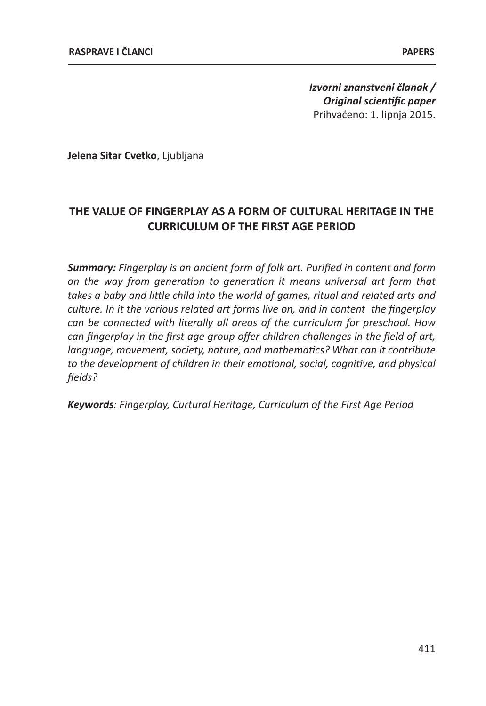*Izvorni znanstveni članak / Original scientific paper* Prihvaćeno: 1. lipnja 2015.

**Jelena Sitar Cvetko**, Ljubljana

# **THE VALUE OF FINGERPLAY AS A FORM OF CULTURAL HERITAGE IN THE CURRICULUM OF THE FIRST AGE PERIOD**

*Summary: Fingerplay is an ancient form of folk art. Purified in content and form on the way from generation to generation it means universal art form that*  takes a baby and little child into the world of games, ritual and related arts and *culture. In it the various related art forms live on, and in content the fingerplay can be connected with literally all areas of the curriculum for preschool. How can fingerplay in the first age group offer children challenges in the field of art, language, movement, society, nature, and mathematics? What can it contribute to the development of children in their emotional, social, cognitive, and physical fields?*

*Keywords: Fingerplay, Curtural Heritage, Curriculum of the First Age Period*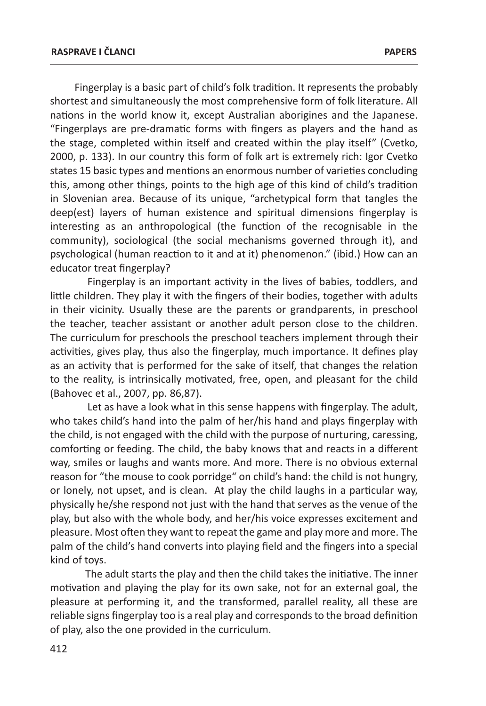Fingerplay is a basic part of child's folk tradition. It represents the probably shortest and simultaneously the most comprehensive form of folk literature. All nations in the world know it, except Australian aborigines and the Japanese. "Fingerplays are pre-dramatic forms with fingers as players and the hand as the stage, completed within itself and created within the play itself" (Cvetko, 2000, p. 133). In our country this form of folk art is extremely rich: Igor Cvetko states 15 basic types and mentions an enormous number of varieties concluding this, among other things, points to the high age of this kind of child's tradition in Slovenian area. Because of its unique, "archetypical form that tangles the deep(est) layers of human existence and spiritual dimensions fingerplay is interesting as an anthropological (the function of the recognisable in the community), sociological (the social mechanisms governed through it), and psychological (human reaction to it and at it) phenomenon." (ibid.) How can an educator treat fingerplay?

Fingerplay is an important activity in the lives of babies, toddlers, and little children. They play it with the fingers of their bodies, together with adults in their vicinity. Usually these are the parents or grandparents, in preschool the teacher, teacher assistant or another adult person close to the children. The curriculum for preschools the preschool teachers implement through their activities, gives play, thus also the fingerplay, much importance. It defines play as an activity that is performed for the sake of itself, that changes the relation to the reality, is intrinsically motivated, free, open, and pleasant for the child (Bahovec et al., 2007, pp. 86,87).

Let as have a look what in this sense happens with fingerplay. The adult, who takes child's hand into the palm of her/his hand and plays fingerplay with the child, is not engaged with the child with the purpose of nurturing, caressing, comforting or feeding. The child, the baby knows that and reacts in a different way, smiles or laughs and wants more. And more. There is no obvious external reason for "the mouse to cook porridge" on child's hand: the child is not hungry, or lonely, not upset, and is clean. At play the child laughs in a particular way, physically he/she respond not just with the hand that serves as the venue of the play, but also with the whole body, and her/his voice expresses excitement and pleasure. Most often they want to repeat the game and play more and more. The palm of the child's hand converts into playing field and the fingers into a special kind of toys.

The adult starts the play and then the child takes the initiative. The inner motivation and playing the play for its own sake, not for an external goal, the pleasure at performing it, and the transformed, parallel reality, all these are reliable signs fingerplay too is a real play and corresponds to the broad definition of play, also the one provided in the curriculum.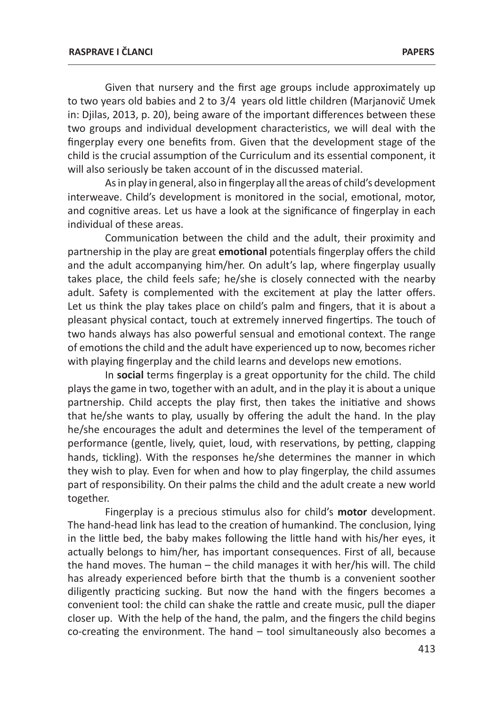Given that nursery and the first age groups include approximately up to two years old babies and 2 to 3/4 years old little children (Marjanovič Umek in: Djilas, 2013, p. 20), being aware of the important differences between these two groups and individual development characteristics, we will deal with the fingerplay every one benefits from. Given that the development stage of the child is the crucial assumption of the Curriculum and its essential component, it will also seriously be taken account of in the discussed material.

As in play in general, also in fingerplay all the areas of child's development interweave. Child's development is monitored in the social, emotional, motor, and cognitive areas. Let us have a look at the significance of fingerplay in each individual of these areas.

Communication between the child and the adult, their proximity and partnership in the play are great **emotional** potentials fingerplay offers the child and the adult accompanying him/her. On adult's lap, where fingerplay usually takes place, the child feels safe; he/she is closely connected with the nearby adult. Safety is complemented with the excitement at play the latter offers. Let us think the play takes place on child's palm and fingers, that it is about a pleasant physical contact, touch at extremely innerved fingertips. The touch of two hands always has also powerful sensual and emotional context. The range of emotions the child and the adult have experienced up to now, becomes richer with playing fingerplay and the child learns and develops new emotions.

In **social** terms fingerplay is a great opportunity for the child. The child plays the game in two, together with an adult, and in the play it is about a unique partnership. Child accepts the play first, then takes the initiative and shows that he/she wants to play, usually by offering the adult the hand. In the play he/she encourages the adult and determines the level of the temperament of performance (gentle, lively, quiet, loud, with reservations, by petting, clapping hands, tickling). With the responses he/she determines the manner in which they wish to play. Even for when and how to play fingerplay, the child assumes part of responsibility. On their palms the child and the adult create a new world together.

Fingerplay is a precious stimulus also for child's **motor** development. The hand-head link has lead to the creation of humankind. The conclusion, lying in the little bed, the baby makes following the little hand with his/her eyes, it actually belongs to him/her, has important consequences. First of all, because the hand moves. The human – the child manages it with her/his will. The child has already experienced before birth that the thumb is a convenient soother diligently practicing sucking. But now the hand with the fingers becomes a convenient tool: the child can shake the rattle and create music, pull the diaper closer up. With the help of the hand, the palm, and the fingers the child begins co-creating the environment. The hand – tool simultaneously also becomes a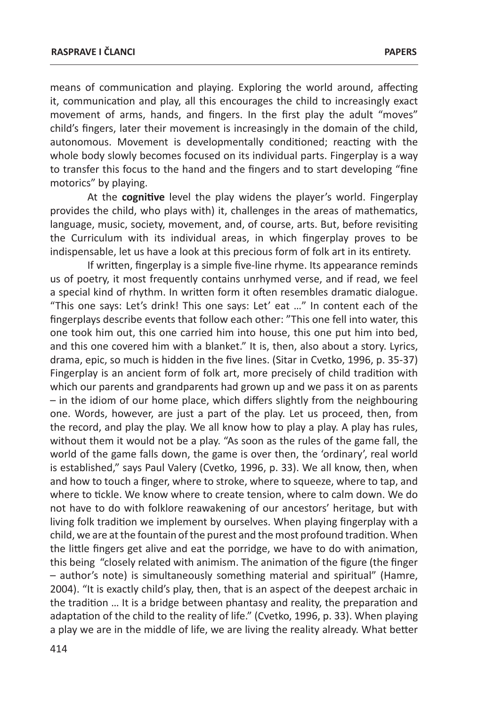means of communication and playing. Exploring the world around, affecting it, communication and play, all this encourages the child to increasingly exact movement of arms, hands, and fingers. In the first play the adult "moves" child's fingers, later their movement is increasingly in the domain of the child, autonomous. Movement is developmentally conditioned; reacting with the whole body slowly becomes focused on its individual parts. Fingerplay is a way to transfer this focus to the hand and the fingers and to start developing "fine motorics" by playing.

At the **cognitive** level the play widens the player's world. Fingerplay provides the child, who plays with) it, challenges in the areas of mathematics, language, music, society, movement, and, of course, arts. But, before revisiting the Curriculum with its individual areas, in which fingerplay proves to be indispensable, let us have a look at this precious form of folk art in its entirety.

If written, fingerplay is a simple five-line rhyme. Its appearance reminds us of poetry, it most frequently contains unrhymed verse, and if read, we feel a special kind of rhythm. In written form it often resembles dramatic dialogue. "This one says: Let's drink! This one says: Let' eat …" In content each of the fingerplays describe events that follow each other: "This one fell into water, this one took him out, this one carried him into house, this one put him into bed, and this one covered him with a blanket." It is, then, also about a story. Lyrics, drama, epic, so much is hidden in the five lines. (Sitar in Cvetko, 1996, p. 35-37) Fingerplay is an ancient form of folk art, more precisely of child tradition with which our parents and grandparents had grown up and we pass it on as parents – in the idiom of our home place, which differs slightly from the neighbouring one. Words, however, are just a part of the play. Let us proceed, then, from the record, and play the play. We all know how to play a play. A play has rules, without them it would not be a play. "As soon as the rules of the game fall, the world of the game falls down, the game is over then, the 'ordinary', real world is established," says Paul Valery (Cvetko, 1996, p. 33). We all know, then, when and how to touch a finger, where to stroke, where to squeeze, where to tap, and where to tickle. We know where to create tension, where to calm down. We do not have to do with folklore reawakening of our ancestors' heritage, but with living folk tradition we implement by ourselves. When playing fingerplay with a child, we are at the fountain of the purest and the most profound tradition. When the little fingers get alive and eat the porridge, we have to do with animation, this being "closely related with animism. The animation of the figure (the finger – author's note) is simultaneously something material and spiritual" (Hamre, 2004). "It is exactly child's play, then, that is an aspect of the deepest archaic in the tradition … It is a bridge between phantasy and reality, the preparation and adaptation of the child to the reality of life." (Cvetko, 1996, p. 33). When playing a play we are in the middle of life, we are living the reality already. What better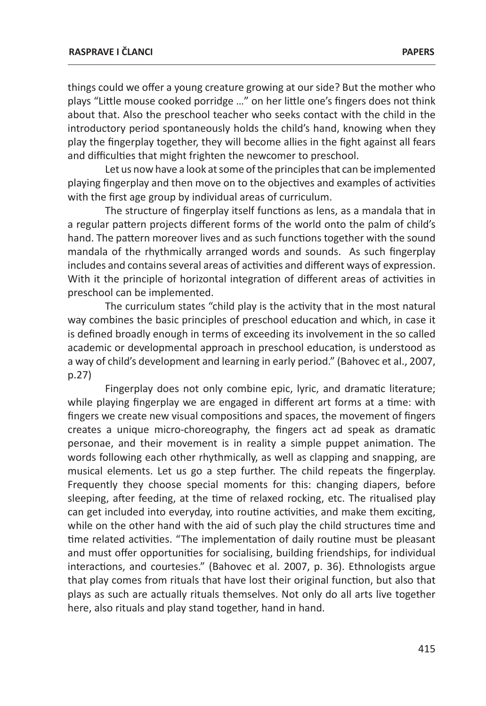things could we offer a young creature growing at our side? But the mother who plays "Little mouse cooked porridge …" on her little one's fingers does not think about that. Also the preschool teacher who seeks contact with the child in the introductory period spontaneously holds the child's hand, knowing when they play the fingerplay together, they will become allies in the fight against all fears and difficulties that might frighten the newcomer to preschool.

Let us now have a look at some of the principles that can be implemented playing fingerplay and then move on to the objectives and examples of activities with the first age group by individual areas of curriculum.

The structure of fingerplay itself functions as lens, as a mandala that in a regular pattern projects different forms of the world onto the palm of child's hand. The pattern moreover lives and as such functions together with the sound mandala of the rhythmically arranged words and sounds. As such fingerplay includes and contains several areas of activities and different ways of expression. With it the principle of horizontal integration of different areas of activities in preschool can be implemented.

The curriculum states "child play is the activity that in the most natural way combines the basic principles of preschool education and which, in case it is defined broadly enough in terms of exceeding its involvement in the so called academic or developmental approach in preschool education, is understood as a way of child's development and learning in early period." (Bahovec et al., 2007, p.27)

Fingerplay does not only combine epic, lyric, and dramatic literature; while playing fingerplay we are engaged in different art forms at a time: with fingers we create new visual compositions and spaces, the movement of fingers creates a unique micro-choreography, the fingers act ad speak as dramatic personae, and their movement is in reality a simple puppet animation. The words following each other rhythmically, as well as clapping and snapping, are musical elements. Let us go a step further. The child repeats the fingerplay. Frequently they choose special moments for this: changing diapers, before sleeping, after feeding, at the time of relaxed rocking, etc. The ritualised play can get included into everyday, into routine activities, and make them exciting, while on the other hand with the aid of such play the child structures time and time related activities. "The implementation of daily routine must be pleasant and must offer opportunities for socialising, building friendships, for individual interactions, and courtesies." (Bahovec et al. 2007, p. 36). Ethnologists argue that play comes from rituals that have lost their original function, but also that plays as such are actually rituals themselves. Not only do all arts live together here, also rituals and play stand together, hand in hand.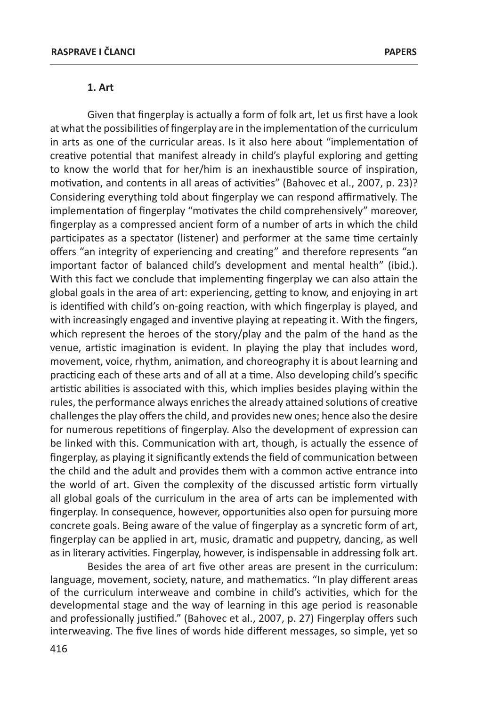### **1. Art**

Given that fingerplay is actually a form of folk art, let us first have a look at what the possibilities of fingerplay are in the implementation of the curriculum in arts as one of the curricular areas. Is it also here about "implementation of creative potential that manifest already in child's playful exploring and getting to know the world that for her/him is an inexhaustible source of inspiration, motivation, and contents in all areas of activities" (Bahovec et al., 2007, p. 23)? Considering everything told about fingerplay we can respond affirmatively. The implementation of fingerplay "motivates the child comprehensively" moreover, fingerplay as a compressed ancient form of a number of arts in which the child participates as a spectator (listener) and performer at the same time certainly offers "an integrity of experiencing and creating" and therefore represents "an important factor of balanced child's development and mental health" (ibid.). With this fact we conclude that implementing fingerplay we can also attain the global goals in the area of art: experiencing, getting to know, and enjoying in art is identified with child's on-going reaction, with which fingerplay is played, and with increasingly engaged and inventive playing at repeating it. With the fingers, which represent the heroes of the story/play and the palm of the hand as the venue, artistic imagination is evident. In playing the play that includes word, movement, voice, rhythm, animation, and choreography it is about learning and practicing each of these arts and of all at a time. Also developing child's specific artistic abilities is associated with this, which implies besides playing within the rules, the performance always enriches the already attained solutions of creative challenges the play offers the child, and provides new ones; hence also the desire for numerous repetitions of fingerplay. Also the development of expression can be linked with this. Communication with art, though, is actually the essence of fingerplay, as playing it significantly extends the field of communication between the child and the adult and provides them with a common active entrance into the world of art. Given the complexity of the discussed artistic form virtually all global goals of the curriculum in the area of arts can be implemented with fingerplay. In consequence, however, opportunities also open for pursuing more concrete goals. Being aware of the value of fingerplay as a syncretic form of art, fingerplay can be applied in art, music, dramatic and puppetry, dancing, as well as in literary activities. Fingerplay, however, is indispensable in addressing folk art.

Besides the area of art five other areas are present in the curriculum: language, movement, society, nature, and mathematics. "In play different areas of the curriculum interweave and combine in child's activities, which for the developmental stage and the way of learning in this age period is reasonable and professionally justified." (Bahovec et al., 2007, p. 27) Fingerplay offers such interweaving. The five lines of words hide different messages, so simple, yet so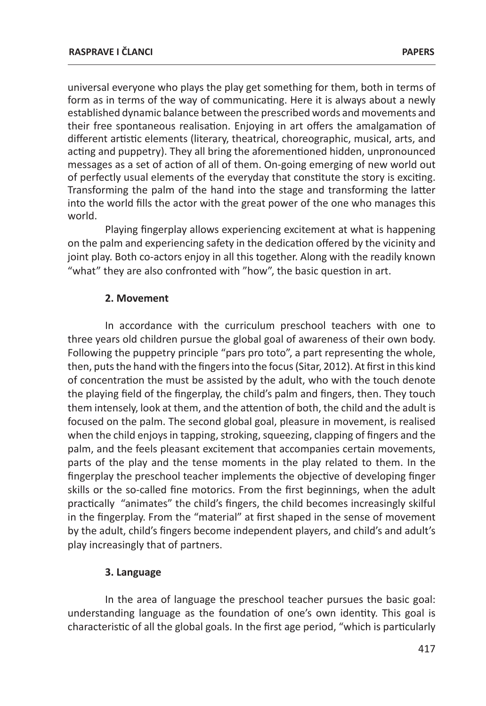universal everyone who plays the play get something for them, both in terms of form as in terms of the way of communicating. Here it is always about a newly established dynamic balance between the prescribed words and movements and their free spontaneous realisation. Enjoying in art offers the amalgamation of different artistic elements (literary, theatrical, choreographic, musical, arts, and acting and puppetry). They all bring the aforementioned hidden, unpronounced messages as a set of action of all of them. On-going emerging of new world out of perfectly usual elements of the everyday that constitute the story is exciting. Transforming the palm of the hand into the stage and transforming the latter into the world fills the actor with the great power of the one who manages this world.

Playing fingerplay allows experiencing excitement at what is happening on the palm and experiencing safety in the dedication offered by the vicinity and joint play. Both co-actors enjoy in all this together. Along with the readily known "what" they are also confronted with "how", the basic question in art.

### **2. Movement**

In accordance with the curriculum preschool teachers with one to three years old children pursue the global goal of awareness of their own body. Following the puppetry principle "pars pro toto", a part representing the whole, then, puts the hand with the fingers into the focus (Sitar, 2012). At first in this kind of concentration the must be assisted by the adult, who with the touch denote the playing field of the fingerplay, the child's palm and fingers, then. They touch them intensely, look at them, and the attention of both, the child and the adult is focused on the palm. The second global goal, pleasure in movement, is realised when the child enjoys in tapping, stroking, squeezing, clapping of fingers and the palm, and the feels pleasant excitement that accompanies certain movements, parts of the play and the tense moments in the play related to them. In the fingerplay the preschool teacher implements the objective of developing finger skills or the so-called fine motorics. From the first beginnings, when the adult practically "animates" the child's fingers, the child becomes increasingly skilful in the fingerplay. From the "material" at first shaped in the sense of movement by the adult, child's fingers become independent players, and child's and adult's play increasingly that of partners.

### **3. Language**

In the area of language the preschool teacher pursues the basic goal: understanding language as the foundation of one's own identity. This goal is characteristic of all the global goals. In the first age period, "which is particularly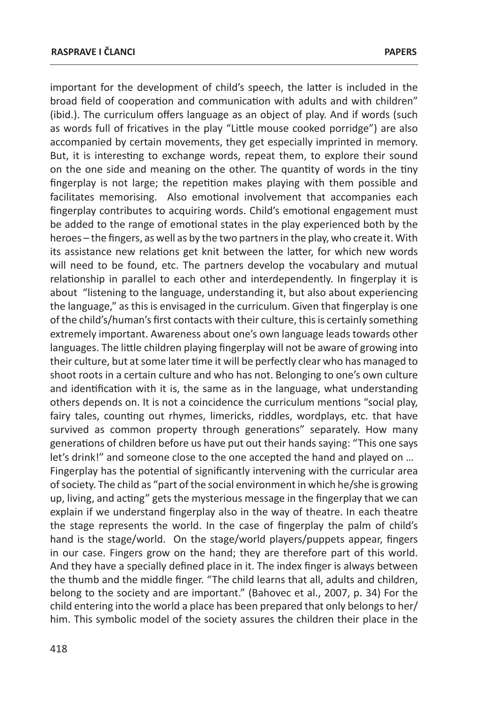important for the development of child's speech, the latter is included in the broad field of cooperation and communication with adults and with children" (ibid.). The curriculum offers language as an object of play. And if words (such as words full of fricatives in the play "Little mouse cooked porridge") are also accompanied by certain movements, they get especially imprinted in memory. But, it is interesting to exchange words, repeat them, to explore their sound on the one side and meaning on the other. The quantity of words in the tiny fingerplay is not large; the repetition makes playing with them possible and facilitates memorising. Also emotional involvement that accompanies each fingerplay contributes to acquiring words. Child's emotional engagement must be added to the range of emotional states in the play experienced both by the heroes – the fingers, as well as by the two partners in the play, who create it. With its assistance new relations get knit between the latter, for which new words will need to be found, etc. The partners develop the vocabulary and mutual relationship in parallel to each other and interdependently. In fingerplay it is about "listening to the language, understanding it, but also about experiencing the language," as this is envisaged in the curriculum. Given that fingerplay is one of the child's/human's first contacts with their culture, this is certainly something extremely important. Awareness about one's own language leads towards other languages. The little children playing fingerplay will not be aware of growing into their culture, but at some later time it will be perfectly clear who has managed to shoot roots in a certain culture and who has not. Belonging to one's own culture and identification with it is, the same as in the language, what understanding others depends on. It is not a coincidence the curriculum mentions "social play, fairy tales, counting out rhymes, limericks, riddles, wordplays, etc. that have survived as common property through generations" separately. How many generations of children before us have put out their hands saying: "This one says let's drink!" and someone close to the one accepted the hand and played on … Fingerplay has the potential of significantly intervening with the curricular area of society. The child as "part of the social environment in which he/she is growing up, living, and acting" gets the mysterious message in the fingerplay that we can explain if we understand fingerplay also in the way of theatre. In each theatre the stage represents the world. In the case of fingerplay the palm of child's hand is the stage/world. On the stage/world players/puppets appear, fingers in our case. Fingers grow on the hand; they are therefore part of this world. And they have a specially defined place in it. The index finger is always between the thumb and the middle finger. "The child learns that all, adults and children, belong to the society and are important." (Bahovec et al., 2007, p. 34) For the child entering into the world a place has been prepared that only belongs to her/ him. This symbolic model of the society assures the children their place in the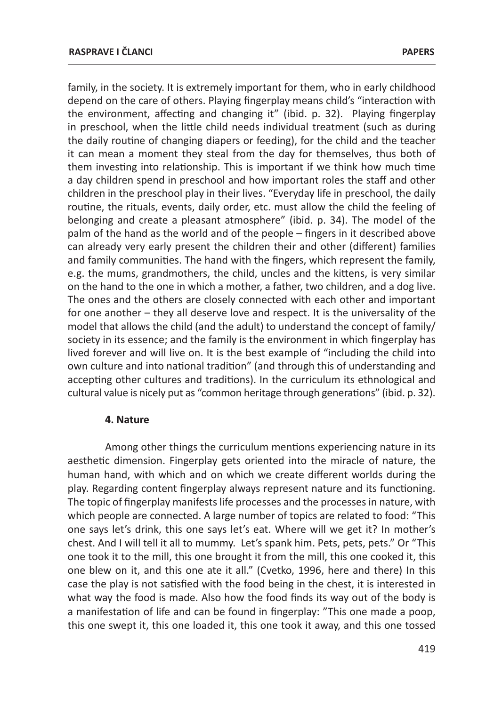family, in the society. It is extremely important for them, who in early childhood depend on the care of others. Playing fingerplay means child's "interaction with the environment, affecting and changing it" (ibid. p. 32). Playing fingerplay in preschool, when the little child needs individual treatment (such as during the daily routine of changing diapers or feeding), for the child and the teacher it can mean a moment they steal from the day for themselves, thus both of them investing into relationship. This is important if we think how much time a day children spend in preschool and how important roles the staff and other children in the preschool play in their lives. "Everyday life in preschool, the daily routine, the rituals, events, daily order, etc. must allow the child the feeling of belonging and create a pleasant atmosphere" (ibid. p. 34). The model of the palm of the hand as the world and of the people – fingers in it described above can already very early present the children their and other (different) families and family communities. The hand with the fingers, which represent the family, e.g. the mums, grandmothers, the child, uncles and the kittens, is very similar on the hand to the one in which a mother, a father, two children, and a dog live. The ones and the others are closely connected with each other and important for one another – they all deserve love and respect. It is the universality of the model that allows the child (and the adult) to understand the concept of family/ society in its essence; and the family is the environment in which fingerplay has lived forever and will live on. It is the best example of "including the child into own culture and into national tradition" (and through this of understanding and accepting other cultures and traditions). In the curriculum its ethnological and cultural value is nicely put as "common heritage through generations" (ibid. p. 32).

#### **4. Nature**

Among other things the curriculum mentions experiencing nature in its aesthetic dimension. Fingerplay gets oriented into the miracle of nature, the human hand, with which and on which we create different worlds during the play. Regarding content fingerplay always represent nature and its functioning. The topic of fingerplay manifests life processes and the processes in nature, with which people are connected. A large number of topics are related to food: "This one says let's drink, this one says let's eat. Where will we get it? In mother's chest. And I will tell it all to mummy. Let's spank him. Pets, pets, pets." Or "This one took it to the mill, this one brought it from the mill, this one cooked it, this one blew on it, and this one ate it all." (Cvetko, 1996, here and there) In this case the play is not satisfied with the food being in the chest, it is interested in what way the food is made. Also how the food finds its way out of the body is a manifestation of life and can be found in fingerplay: "This one made a poop, this one swept it, this one loaded it, this one took it away, and this one tossed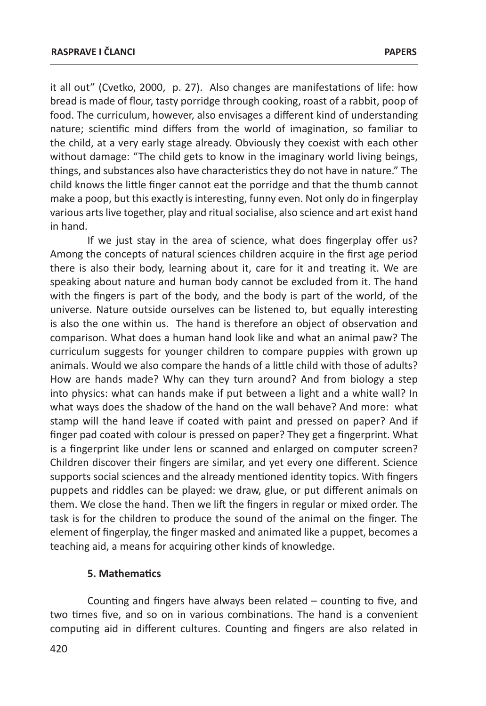it all out" (Cvetko, 2000, p. 27). Also changes are manifestations of life: how bread is made of flour, tasty porridge through cooking, roast of a rabbit, poop of food. The curriculum, however, also envisages a different kind of understanding nature; scientific mind differs from the world of imagination, so familiar to the child, at a very early stage already. Obviously they coexist with each other without damage: "The child gets to know in the imaginary world living beings, things, and substances also have characteristics they do not have in nature." The child knows the little finger cannot eat the porridge and that the thumb cannot make a poop, but this exactly is interesting, funny even. Not only do in fingerplay various arts live together, play and ritual socialise, also science and art exist hand in hand.

If we just stay in the area of science, what does fingerplay offer us? Among the concepts of natural sciences children acquire in the first age period there is also their body, learning about it, care for it and treating it. We are speaking about nature and human body cannot be excluded from it. The hand with the fingers is part of the body, and the body is part of the world, of the universe. Nature outside ourselves can be listened to, but equally interesting is also the one within us. The hand is therefore an object of observation and comparison. What does a human hand look like and what an animal paw? The curriculum suggests for younger children to compare puppies with grown up animals. Would we also compare the hands of a little child with those of adults? How are hands made? Why can they turn around? And from biology a step into physics: what can hands make if put between a light and a white wall? In what ways does the shadow of the hand on the wall behave? And more: what stamp will the hand leave if coated with paint and pressed on paper? And if finger pad coated with colour is pressed on paper? They get a fingerprint. What is a fingerprint like under lens or scanned and enlarged on computer screen? Children discover their fingers are similar, and yet every one different. Science supports social sciences and the already mentioned identity topics. With fingers puppets and riddles can be played: we draw, glue, or put different animals on them. We close the hand. Then we lift the fingers in regular or mixed order. The task is for the children to produce the sound of the animal on the finger. The element of fingerplay, the finger masked and animated like a puppet, becomes a teaching aid, a means for acquiring other kinds of knowledge.

### **5. Mathematics**

Counting and fingers have always been related – counting to five, and two times five, and so on in various combinations. The hand is a convenient computing aid in different cultures. Counting and fingers are also related in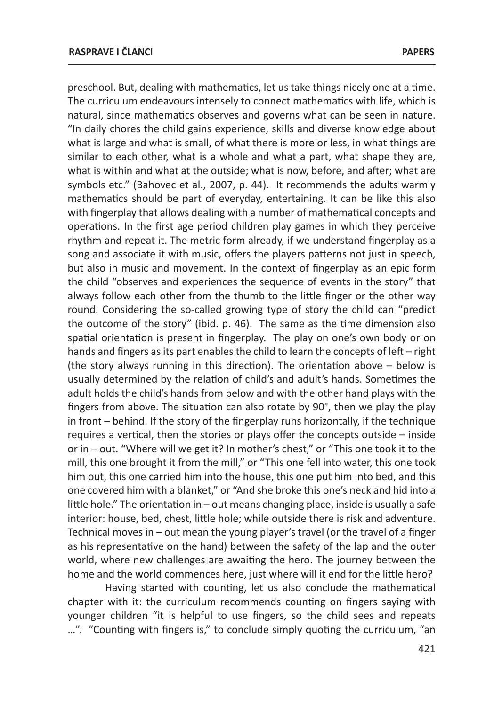preschool. But, dealing with mathematics, let us take things nicely one at a time. The curriculum endeavours intensely to connect mathematics with life, which is natural, since mathematics observes and governs what can be seen in nature. "In daily chores the child gains experience, skills and diverse knowledge about what is large and what is small, of what there is more or less, in what things are similar to each other, what is a whole and what a part, what shape they are, what is within and what at the outside; what is now, before, and after; what are symbols etc." (Bahovec et al., 2007, p. 44). It recommends the adults warmly mathematics should be part of everyday, entertaining. It can be like this also with fingerplay that allows dealing with a number of mathematical concepts and operations. In the first age period children play games in which they perceive rhythm and repeat it. The metric form already, if we understand fingerplay as a song and associate it with music, offers the players patterns not just in speech, but also in music and movement. In the context of fingerplay as an epic form the child "observes and experiences the sequence of events in the story" that always follow each other from the thumb to the little finger or the other way round. Considering the so-called growing type of story the child can "predict the outcome of the story" (ibid. p. 46). The same as the time dimension also spatial orientation is present in fingerplay. The play on one's own body or on hands and fingers as its part enables the child to learn the concepts of left – right (the story always running in this direction). The orientation above – below is usually determined by the relation of child's and adult's hands. Sometimes the adult holds the child's hands from below and with the other hand plays with the fingers from above. The situation can also rotate by 90°, then we play the play in front – behind. If the story of the fingerplay runs horizontally, if the technique requires a vertical, then the stories or plays offer the concepts outside – inside or in – out. "Where will we get it? In mother's chest," or "This one took it to the mill, this one brought it from the mill," or "This one fell into water, this one took him out, this one carried him into the house, this one put him into bed, and this one covered him with a blanket," or "And she broke this one's neck and hid into a little hole." The orientation in – out means changing place, inside is usually a safe interior: house, bed, chest, little hole; while outside there is risk and adventure. Technical moves in – out mean the young player's travel (or the travel of a finger as his representative on the hand) between the safety of the lap and the outer world, where new challenges are awaiting the hero. The journey between the home and the world commences here, just where will it end for the little hero?

Having started with counting, let us also conclude the mathematical chapter with it: the curriculum recommends counting on fingers saying with younger children "it is helpful to use fingers, so the child sees and repeats …". "Counting with fingers is," to conclude simply quoting the curriculum, "an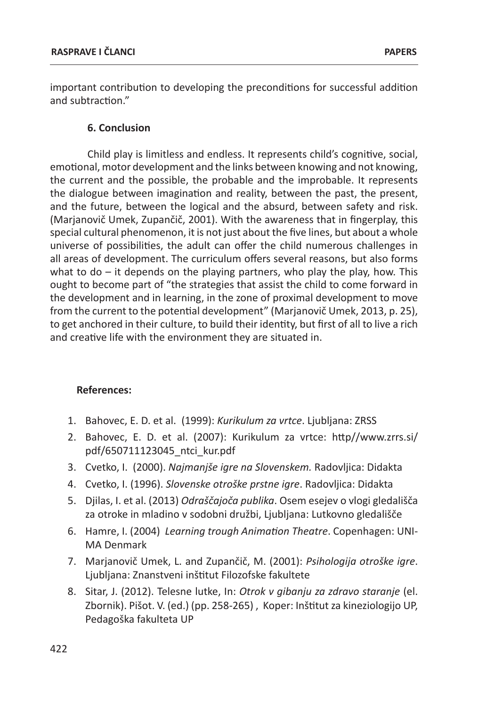important contribution to developing the preconditions for successful addition and subtraction."

## **6. Conclusion**

Child play is limitless and endless. It represents child's cognitive, social, emotional, motor development and the links between knowing and not knowing, the current and the possible, the probable and the improbable. It represents the dialogue between imagination and reality, between the past, the present, and the future, between the logical and the absurd, between safety and risk. (Marjanovič Umek, Zupančič, 2001). With the awareness that in fingerplay, this special cultural phenomenon, it is not just about the five lines, but about a whole universe of possibilities, the adult can offer the child numerous challenges in all areas of development. The curriculum offers several reasons, but also forms what to  $do - it$  depends on the playing partners, who play the play, how. This ought to become part of "the strategies that assist the child to come forward in the development and in learning, in the zone of proximal development to move from the current to the potential development" (Marjanovič Umek, 2013, p. 25), to get anchored in their culture, to build their identity, but first of all to live a rich and creative life with the environment they are situated in.

### **References:**

- 1. Bahovec, E. D. et al. (1999): *Kurikulum za vrtce*. Ljubljana: ZRSS
- 2. Bahovec, E. D. et al. (2007): Kurikulum za vrtce: http//www.zrrs.si/ pdf/650711123045\_ntci\_kur.pdf
- 3. Cvetko, I. (2000). *Najmanjše igre na Slovenskem.* Radovljica: Didakta
- 4. Cvetko, I. (1996). *Slovenske otroške prstne igre*. Radovljica: Didakta
- 5. Djilas, I. et al. (2013) *Odraščajoča publika*. Osem esejev o vlogi gledališča za otroke in mladino v sodobni družbi, Ljubljana: Lutkovno gledališče
- 6. Hamre, I. (2004) *Learning trough Animation Theatre*. Copenhagen: UNI-MA Denmark
- 7. Marjanovič Umek, L. and Zupančič, M. (2001): *Psihologija otroške igre*. Ljubljana: Znanstveni inštitut Filozofske fakultete
- 8. Sitar, J. (2012). Telesne lutke, In: *Otrok v gibanju za zdravo staranje* (el. Zbornik). Pišot. V. (ed.) (pp. 258-265) , Koper: Inštitut za kineziologijo UP, Pedagoška fakulteta UP